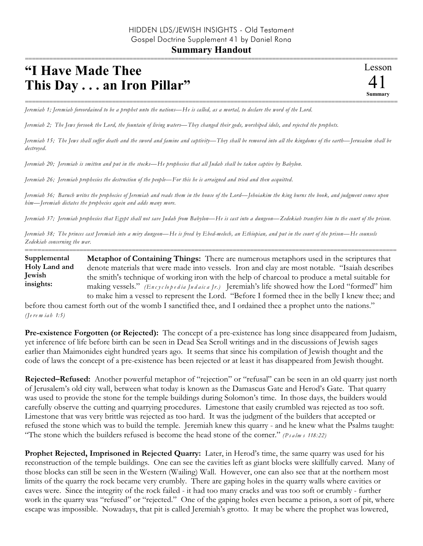## =========================================================================================================== **"I Have Made Thee This Day . . . an Iron Pillar"**

=========================================================================================================== *Jeremiah 1; Jeremiah foreordained to be a prophet unto the nations—He is called, as a mortal, to declare the word of the Lord.* 

*Jeremiah 2; The Jews forsook the Lord, the fountain of living waters—They changed their gods, worshiped idols, and rejected the prophets.*

*Jeremiah 15; The Jews shall suffer death and the sword and famine and captivity—They shall be removed into all the kingdoms of the earth—Jerusalem shall be destroyed.*

*Jeremiah 20; Jeremiah is smitten and put in the stocks—He prophesies that all Judah shall be taken captive by Babylon.*

*Jeremiah 26; Jeremiah prophesies the destruction of the people—For this he is arraigned and tried and then acquitted.*

*Jeremiah 36; Baruch writes the prophecies of Jeremiah and reads them in the house of the Lord—Jehoiakim the king burns the book, and judgment comes upon him—Jeremiah dictates the prophecies again and adds many more.* 

*Jeremiah 37; Jeremiah prophesies that Egypt shall not save Judah from Babylon—He is cast into a dungeon—Zedekiah transfers him to the court of the prison.* 

*Jeremiah 38; The princes cast Jeremiah into a miry dungeon—He is freed by Ebed-melech, an Ethiopian, and put in the court of the prison—He counsels Zedekiah concerning the war.*

========================================================================================================== **Metaphor of Containing Things:** There are numerous metaphors used in the scriptures that denote materials that were made into vessels. Iron and clay are most notable. "Isaiah describes the smith's technique of working iron with the help of charcoal to produce a metal suitable for making vessels." *(En c y c lo p e d ia Ju d aic a Jr.)* Jeremiah's life showed how the Lord "formed" him to make him a vessel to represent the Lord. "Before I formed thee in the belly I knew thee; and **Supplemental Holy Land and Jewish insights:**

before thou camest forth out of the womb I sanctified thee, and I ordained thee a prophet unto the nations." *(Je re m ia h 1:5)*

**Pre-existence Forgotten (or Rejected):** The concept of a pre-existence has long since disappeared from Judaism, yet inference of life before birth can be seen in Dead Sea Scroll writings and in the discussions of Jewish sages earlier than Maimonides eight hundred years ago. It seems that since his compilation of Jewish thought and the code of laws the concept of a pre-existence has been rejected or at least it has disappeared from Jewish thought.

**Rejected–Refused:** Another powerful metaphor of "rejection" or "refusal" can be seen in an old quarry just north of Jerusalem's old city wall, between what today is known as the Damascus Gate and Herod's Gate. That quarry was used to provide the stone for the temple buildings during Solomon's time. In those days, the builders would carefully observe the cutting and quarrying procedures. Limestone that easily crumbled was rejected as too soft. Limestone that was very brittle was rejected as too hard. It was the judgment of the builders that accepted or refused the stone which was to build the temple. Jeremiah knew this quarry - and he knew what the Psalms taught: "The stone which the builders refused is become the head stone of the corner." *(P s a lm s 118:22)*

**Prophet Rejected, Imprisoned in Rejected Quarry:** Later, in Herod's time, the same quarry was used for his reconstruction of the temple buildings. One can see the cavities left as giant blocks were skillfully carved. Many of those blocks can still be seen in the Western (Wailing) Wall. However, one can also see that at the northern most limits of the quarry the rock became very crumbly. There are gaping holes in the quarry walls where cavities or caves were. Since the integrity of the rock failed - it had too many cracks and was too soft or crumbly - further work in the quarry was "refused" or "rejected." One of the gaping holes even became a prison, a sort of pit, where escape was impossible. Nowadays, that pit is called Jeremiah's grotto. It may be where the prophet was lowered,